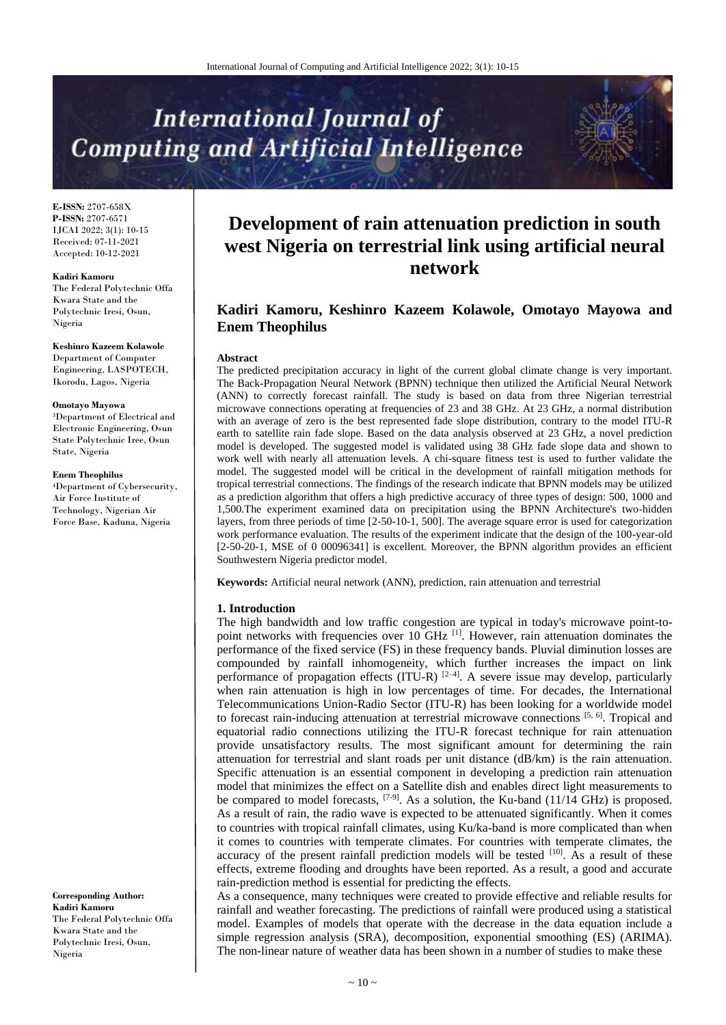# **International Journal of Computing and Artificial Intelligence**

**E-ISSN:** 2707-658X **P-ISSN:** 2707-6571 IJCAI 2022; 3(1): 10-15 Received: 07-11-2021 Accepted: 10-12-2021

#### **Kadiri Kamoru**

The Federal Polytechnic Offa Kwara State and the Polytechnic Iresi, Osun, Nigeria

#### **Keshinro Kazeem Kolawole**

Department of Computer Engineering, LASPOTECH, Ikorodu, Lagos, Nigeria

#### **Omotayo Mayowa**

<sup>3</sup>Department of Electrical and Electronic Engineering, Osun State Polytechnic Iree, Osun State, Nigeria

**Enem Theophilus**

<sup>4</sup>Department of Cybersecurity, Air Force Institute of Technology, Nigerian Air Force Base, Kaduna, Nigeria

**Corresponding Author: Kadiri Kamoru** The Federal Polytechnic Offa Kwara State and the Polytechnic Iresi, Osun, Nigeria

# **Development of rain attenuation prediction in south west Nigeria on terrestrial link using artificial neural network**

# **Kadiri Kamoru, Keshinro Kazeem Kolawole, Omotayo Mayowa and Enem Theophilus**

#### **Abstract**

The predicted precipitation accuracy in light of the current global climate change is very important. The Back-Propagation Neural Network (BPNN) technique then utilized the Artificial Neural Network (ANN) to correctly forecast rainfall. The study is based on data from three Nigerian terrestrial microwave connections operating at frequencies of 23 and 38 GHz. At 23 GHz, a normal distribution with an average of zero is the best represented fade slope distribution, contrary to the model ITU-R earth to satellite rain fade slope. Based on the data analysis observed at 23 GHz, a novel prediction model is developed. The suggested model is validated using 38 GHz fade slope data and shown to work well with nearly all attenuation levels. A chi-square fitness test is used to further validate the model. The suggested model will be critical in the development of rainfall mitigation methods for tropical terrestrial connections. The findings of the research indicate that BPNN models may be utilized as a prediction algorithm that offers a high predictive accuracy of three types of design: 500, 1000 and 1,500.The experiment examined data on precipitation using the BPNN Architecture's two-hidden layers, from three periods of time [2-50-10-1, 500]. The average square error is used for categorization work performance evaluation. The results of the experiment indicate that the design of the 100-year-old [2-50-20-1, MSE of 0 00096341] is excellent. Moreover, the BPNN algorithm provides an efficient Southwestern Nigeria predictor model.

**Keywords:** Artificial neural network (ANN), prediction, rain attenuation and terrestrial

#### **1. Introduction**

The high bandwidth and low traffic congestion are typical in today's microwave point-topoint networks with frequencies over 10 GHz  $^{[1]}$ . However, rain attenuation dominates the performance of the fixed service (FS) in these frequency bands. Pluvial diminution losses are compounded by rainfall inhomogeneity, which further increases the impact on link performance of propagation effects (ITU-R)  $[2-4]$ . A severe issue may develop, particularly when rain attenuation is high in low percentages of time. For decades, the International Telecommunications Union-Radio Sector (ITU-R) has been looking for a worldwide model to forecast rain-inducing attenuation at terrestrial microwave connections [5, 6]. Tropical and equatorial radio connections utilizing the ITU-R forecast technique for rain attenuation provide unsatisfactory results. The most significant amount for determining the rain attenuation for terrestrial and slant roads per unit distance (dB/km) is the rain attenuation. Specific attenuation is an essential component in developing a prediction rain attenuation model that minimizes the effect on a Satellite dish and enables direct light measurements to be compared to model forecasts,  $[7-9]$ . As a solution, the Ku-band (11/14 GHz) is proposed. As a result of rain, the radio wave is expected to be attenuated significantly. When it comes to countries with tropical rainfall climates, using Ku/ka-band is more complicated than when it comes to countries with temperate climates. For countries with temperate climates, the accuracy of the present rainfall prediction models will be tested [10]. As a result of these effects, extreme flooding and droughts have been reported. As a result, a good and accurate rain-prediction method is essential for predicting the effects.

As a consequence, many techniques were created to provide effective and reliable results for rainfall and weather forecasting. The predictions of rainfall were produced using a statistical model. Examples of models that operate with the decrease in the data equation include a simple regression analysis (SRA), decomposition, exponential smoothing (ES) (ARIMA). The non-linear nature of weather data has been shown in a number of studies to make these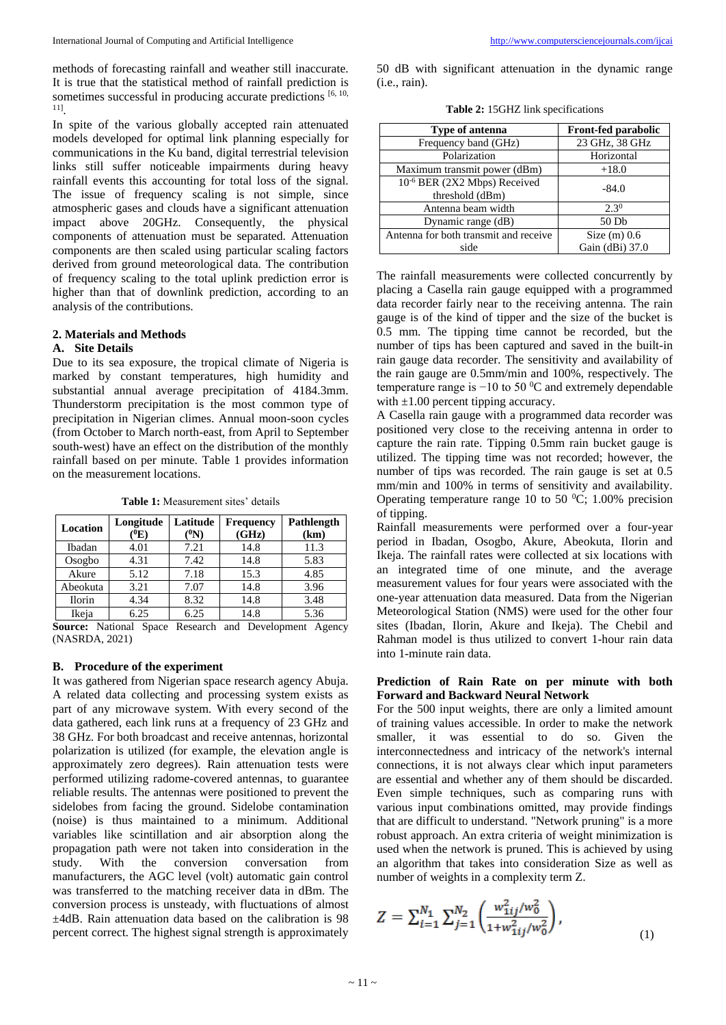methods of forecasting rainfall and weather still inaccurate. It is true that the statistical method of rainfall prediction is sometimes successful in producing accurate predictions  $[6, 10, 10]$ 11] .

In spite of the various globally accepted rain attenuated models developed for optimal link planning especially for communications in the Ku band, digital terrestrial television links still suffer noticeable impairments during heavy rainfall events this accounting for total loss of the signal. The issue of frequency scaling is not simple, since atmospheric gases and clouds have a significant attenuation impact above 20GHz. Consequently, the physical components of attenuation must be separated. Attenuation components are then scaled using particular scaling factors derived from ground meteorological data. The contribution of frequency scaling to the total uplink prediction error is higher than that of downlink prediction, according to an analysis of the contributions.

# **2. Materials and Methods**

## **A. Site Details**

Due to its sea exposure, the tropical climate of Nigeria is marked by constant temperatures, high humidity and substantial annual average precipitation of 4184.3mm. Thunderstorm precipitation is the most common type of precipitation in Nigerian climes. Annual moon-soon cycles (from October to March north-east, from April to September south-west) have an effect on the distribution of the monthly rainfall based on per minute. Table 1 provides information on the measurement locations.

**Table 1:** Measurement sites' details

| Location               | Longitude<br>'E) | Latitude<br>$\rm ^{(0}N)$ | <b>Frequency</b><br>(GHz)    | Pathlength<br>(km)   |  |
|------------------------|------------------|---------------------------|------------------------------|----------------------|--|
| Ibadan                 | 4.01             | 7.21                      | 14.8                         | 11.3                 |  |
| Osogbo                 | 4.31             | 7.42                      | 14.8                         | 5.83                 |  |
| Akure                  | 5.12             | 7.18                      | 15.3                         | 4.85                 |  |
| Abeokuta               | 3.21             | 7.07                      | 14.8                         | 3.96                 |  |
| <b>Ilorin</b>          | 4.34             | 8.32                      | 14.8                         | 3.48                 |  |
| Ikeja                  | 6.25             | 6.25                      | 14.8                         | 5.36                 |  |
| $\sim$<br>$\mathbf{v}$ | $\sim$           | $\sim$<br>$\mathbf{r}$    | $\mathbf{r}$<br>$\mathbf{r}$ | $\sim$ $\sim$ $\sim$ |  |

**Source:** National Space Research and Development Agency (NASRDA, 2021)

## **B. Procedure of the experiment**

It was gathered from Nigerian space research agency Abuja. A related data collecting and processing system exists as part of any microwave system. With every second of the data gathered, each link runs at a frequency of 23 GHz and 38 GHz. For both broadcast and receive antennas, horizontal polarization is utilized (for example, the elevation angle is approximately zero degrees). Rain attenuation tests were performed utilizing radome-covered antennas, to guarantee reliable results. The antennas were positioned to prevent the sidelobes from facing the ground. Sidelobe contamination (noise) is thus maintained to a minimum. Additional variables like scintillation and air absorption along the propagation path were not taken into consideration in the study. With the conversion conversation from manufacturers, the AGC level (volt) automatic gain control was transferred to the matching receiver data in dBm. The conversion process is unsteady, with fluctuations of almost ±4dB. Rain attenuation data based on the calibration is 98 percent correct. The highest signal strength is approximately

50 dB with significant attenuation in the dynamic range (i.e., rain).

| Type of antenna                          | <b>Front-fed parabolic</b> |  |  |
|------------------------------------------|----------------------------|--|--|
| Frequency band (GHz)                     | 23 GHz, 38 GHz             |  |  |
| Polarization                             | Horizontal                 |  |  |
| Maximum transmit power (dBm)             | $+18.0$                    |  |  |
| 10 <sup>-6</sup> BER (2X2 Mbps) Received | $-84.0$                    |  |  |
| threshold (dBm)                          |                            |  |  |
| Antenna beam width                       | $2.3^{0}$                  |  |  |
| Dynamic range (dB)                       | 50 Db                      |  |  |
| Antenna for both transmit and receive    | Size $(m)$ 0.6             |  |  |
| side                                     | Gain (dBi) 37.0            |  |  |

The rainfall measurements were collected concurrently by placing a Casella rain gauge equipped with a programmed data recorder fairly near to the receiving antenna. The rain gauge is of the kind of tipper and the size of the bucket is 0.5 mm. The tipping time cannot be recorded, but the number of tips has been captured and saved in the built-in rain gauge data recorder. The sensitivity and availability of the rain gauge are 0.5mm/min and 100%, respectively. The temperature range is  $-10$  to 50  $\degree$ C and extremely dependable with  $\pm 1.00$  percent tipping accuracy.

A Casella rain gauge with a programmed data recorder was positioned very close to the receiving antenna in order to capture the rain rate. Tipping 0.5mm rain bucket gauge is utilized. The tipping time was not recorded; however, the number of tips was recorded. The rain gauge is set at 0.5 mm/min and 100% in terms of sensitivity and availability. Operating temperature range 10 to 50  $^0C$ ; 1.00% precision of tipping.

Rainfall measurements were performed over a four-year period in Ibadan, Osogbo, Akure, Abeokuta, Ilorin and Ikeja. The rainfall rates were collected at six locations with an integrated time of one minute, and the average measurement values for four years were associated with the one-year attenuation data measured. Data from the Nigerian Meteorological Station (NMS) were used for the other four sites (Ibadan, Ilorin, Akure and Ikeja). The Chebil and Rahman model is thus utilized to convert 1-hour rain data into 1-minute rain data.

## **Prediction of Rain Rate on per minute with both Forward and Backward Neural Network**

For the 500 input weights, there are only a limited amount of training values accessible. In order to make the network smaller, it was essential to do so. Given the interconnectedness and intricacy of the network's internal connections, it is not always clear which input parameters are essential and whether any of them should be discarded. Even simple techniques, such as comparing runs with various input combinations omitted, may provide findings that are difficult to understand. "Network pruning" is a more robust approach. An extra criteria of weight minimization is used when the network is pruned. This is achieved by using an algorithm that takes into consideration Size as well as number of weights in a complexity term Z.

$$
Z = \sum_{i=1}^{N_1} \sum_{j=1}^{N_2} \left( \frac{w_{1ij}^2 / w_0^2}{1 + w_{1ij}^2 / w_0^2} \right),
$$
\n(1)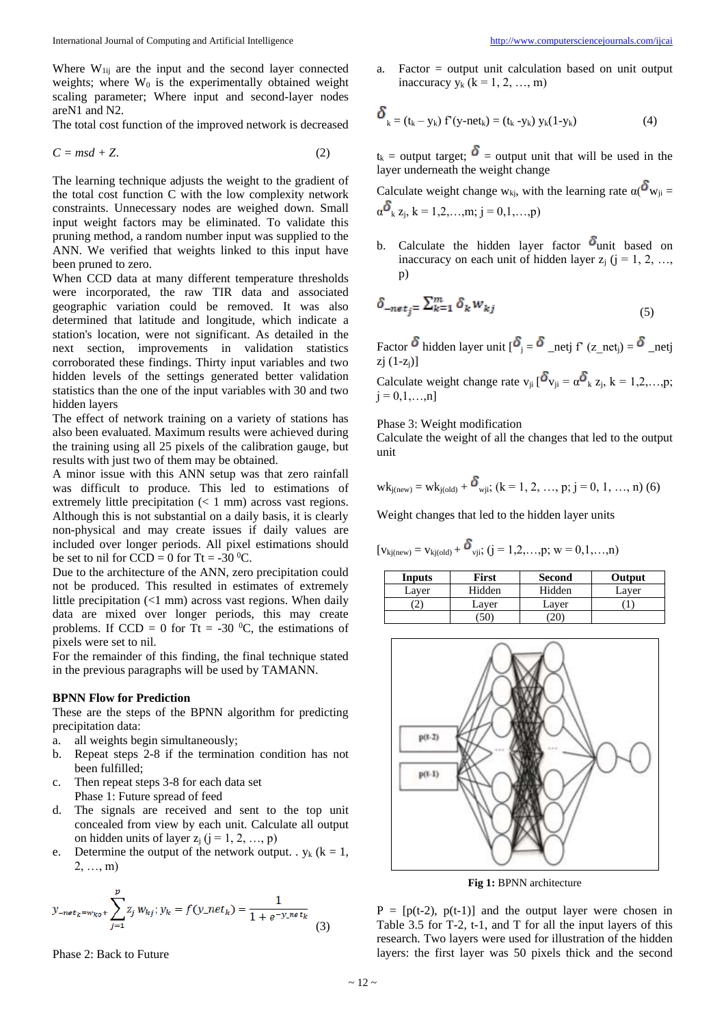Where  $W_{1ij}$  are the input and the second layer connected weights; where  $W_0$  is the experimentally obtained weight scaling parameter; Where input and second-layer nodes areN1 and N2.

The total cost function of the improved network is decreased

$$
C = msd + Z.
$$
 (2)

The learning technique adjusts the weight to the gradient of the total cost function C with the low complexity network constraints. Unnecessary nodes are weighed down. Small input weight factors may be eliminated. To validate this pruning method, a random number input was supplied to the ANN. We verified that weights linked to this input have been pruned to zero.

When CCD data at many different temperature thresholds were incorporated, the raw TIR data and associated geographic variation could be removed. It was also determined that latitude and longitude, which indicate a station's location, were not significant. As detailed in the next section, improvements in validation statistics corroborated these findings. Thirty input variables and two hidden levels of the settings generated better validation statistics than the one of the input variables with 30 and two hidden layers

The effect of network training on a variety of stations has also been evaluated. Maximum results were achieved during the training using all 25 pixels of the calibration gauge, but results with just two of them may be obtained.

A minor issue with this ANN setup was that zero rainfall was difficult to produce. This led to estimations of extremely little precipitation  $(< 1$  mm) across vast regions. Although this is not substantial on a daily basis, it is clearly non-physical and may create issues if daily values are included over longer periods. All pixel estimations should be set to nil for  $CCD = 0$  for Tt = -30 <sup>0</sup>C.

Due to the architecture of the ANN, zero precipitation could not be produced. This resulted in estimates of extremely little precipitation (<1 mm) across vast regions. When daily data are mixed over longer periods, this may create problems. If CCD = 0 for Tt = -30  $^{\circ}$ C, the estimations of pixels were set to nil.

For the remainder of this finding, the final technique stated in the previous paragraphs will be used by TAMANN.

## **BPNN Flow for Prediction**

These are the steps of the BPNN algorithm for predicting precipitation data:

- a. all weights begin simultaneously;
- b. Repeat steps 2-8 if the termination condition has not been fulfilled;
- c. Then repeat steps 3-8 for each data set Phase 1: Future spread of feed
- d. The signals are received and sent to the top unit concealed from view by each unit. Calculate all output on hidden units of layer  $z_i$  (j = 1, 2, ..., p)
- e. Determine the output of the network output. .  $y_k$  ( $k = 1$ , 2, …, m)

$$
y_{-net_k=w_{ko}+}\sum_{j=1}^p z_j w_{kj}; y_k = f(y_{-net_k}) = \frac{1}{1+e^{-y_{-net_k}}}
$$
(3)

Phase 2: Back to Future

a. Factor = output unit calculation based on unit output inaccuracy  $y_k$  ( $k = 1, 2, ..., m$ )

$$
\delta_{k} = (t_{k} - y_{k}) f'(y - net_{k}) = (t_{k} - y_{k}) y_{k}(1 - y_{k})
$$
\n(4)

 $t_k$  = output target;  $\delta$  = output unit that will be used in the layer underneath the weight change

Calculate weight change w<sub>ki</sub>, with the learning rate  $\alpha$ ( $\delta_{W_{ii}}$  =  $\alpha$ <sup>6</sup><sub>k</sub> z<sub>i</sub>, k = 1,2,...,m; j = 0,1,...,p)

b. Calculate the hidden layer factor  $\delta$ unit based on inaccuracy on each unit of hidden layer  $z_i$  ( $j = 1, 2, ...,$ p)

$$
\delta_{-net_j} = \sum_{k=1}^{m} \delta_k w_{kj} \tag{5}
$$

Factor  $\delta$  hidden layer unit  $[\delta_j = \delta_{\text{netj}}]$  f' (z\_net<sub>j</sub>) =  $\delta$ <sub>\_netj</sub>  $zi(1-z<sub>i</sub>)$ ]

Calculate weight change rate  $v_{ji} [\delta v_{ji} = \alpha \delta_k z_j, k = 1,2,...,p;$  $j = 0, 1, \ldots, n$ ]

Phase 3: Weight modification

Calculate the weight of all the changes that led to the output unit

$$
wk_{j(new)} = wk_{j(old)} + \delta_{wji}; (k = 1, 2, ..., p; j = 0, 1, ..., n)
$$
 (6)

Weight changes that led to the hidden layer units

$$
[\boldsymbol{v}_{kj(new)} = \boldsymbol{v}_{kj(old)} + \boldsymbol{\delta}_{vji};\, (j=1,2,\ldots,p;\, w=0,1,\ldots,n)
$$

| Inputs | First  | <b>Second</b> | Output |
|--------|--------|---------------|--------|
| Laver  | Hidden | Hidden        | Laver  |
|        | Laver  | Laver         |        |
|        | 50     | 20            |        |



**Fig 1:** BPNN architecture

 $P = [p(t-2), p(t-1)]$  and the output layer were chosen in Table 3.5 for T-2, t-1, and T for all the input layers of this research. Two layers were used for illustration of the hidden layers: the first layer was 50 pixels thick and the second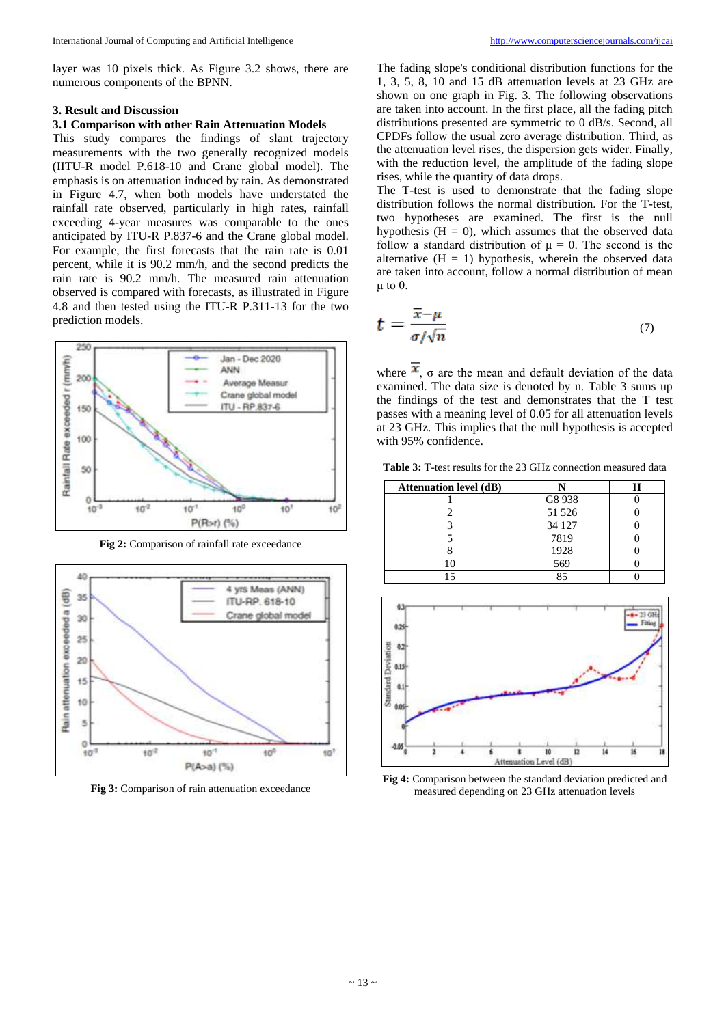layer was 10 pixels thick. As Figure 3.2 shows, there are numerous components of the BPNN.

#### **3. Result and Discussion**

# **3.1 Comparison with other Rain Attenuation Models**

This study compares the findings of slant trajectory measurements with the two generally recognized models (IITU-R model P.618-10 and Crane global model). The emphasis is on attenuation induced by rain. As demonstrated in Figure 4.7, when both models have understated the rainfall rate observed, particularly in high rates, rainfall exceeding 4-year measures was comparable to the ones anticipated by ITU-R P.837-6 and the Crane global model. For example, the first forecasts that the rain rate is 0.01 percent, while it is 90.2 mm/h, and the second predicts the rain rate is 90.2 mm/h. The measured rain attenuation observed is compared with forecasts, as illustrated in Figure 4.8 and then tested using the ITU-R P.311-13 for the two prediction models.



**Fig 2:** Comparison of rainfall rate exceedance



**Fig 3:** Comparison of rain attenuation exceedance

The fading slope's conditional distribution functions for the 1, 3, 5, 8, 10 and 15 dB attenuation levels at 23 GHz are shown on one graph in Fig. 3. The following observations are taken into account. In the first place, all the fading pitch distributions presented are symmetric to 0 dB/s. Second, all CPDFs follow the usual zero average distribution. Third, as the attenuation level rises, the dispersion gets wider. Finally, with the reduction level, the amplitude of the fading slope rises, while the quantity of data drops.

The T-test is used to demonstrate that the fading slope distribution follows the normal distribution. For the T-test, two hypotheses are examined. The first is the null hypothesis  $(H = 0)$ , which assumes that the observed data follow a standard distribution of  $\mu = 0$ . The second is the alternative  $(H = 1)$  hypothesis, wherein the observed data are taken into account, follow a normal distribution of mean μ to  $0$ .

$$
t = \frac{\overline{x} - \mu}{\sigma / \sqrt{n}} \tag{7}
$$

where  $\mathbf{x}$ ,  $\sigma$  are the mean and default deviation of the data examined. The data size is denoted by n. Table 3 sums up the findings of the test and demonstrates that the T test passes with a meaning level of 0.05 for all attenuation levels at 23 GHz. This implies that the null hypothesis is accepted with 95% confidence.

**Table 3:** T-test results for the 23 GHz connection measured data

| <b>Attenuation level (dB)</b> |        |  |
|-------------------------------|--------|--|
|                               | G8 938 |  |
|                               | 51 526 |  |
|                               | 34 127 |  |
|                               | 7819   |  |
|                               | 1928   |  |
|                               | 569    |  |
|                               |        |  |



**Fig 4:** Comparison between the standard deviation predicted and measured depending on 23 GHz attenuation levels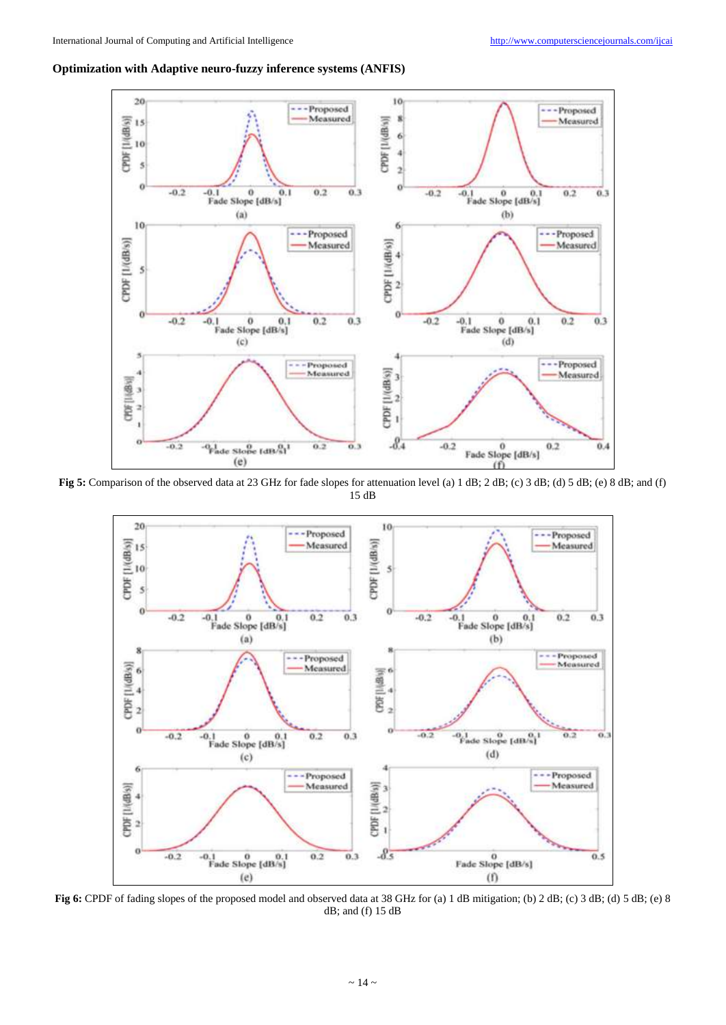# **Optimization with Adaptive neuro-fuzzy inference systems (ANFIS)**



**Fig 5:** Comparison of the observed data at 23 GHz for fade slopes for attenuation level (a) 1 dB; 2 dB; (c) 3 dB; (d) 5 dB; (e) 8 dB; and (f) 15 dB



**Fig 6:** CPDF of fading slopes of the proposed model and observed data at 38 GHz for (a) 1 dB mitigation; (b) 2 dB; (c) 3 dB; (d) 5 dB; (e) 8 dB; and (f) 15 dB